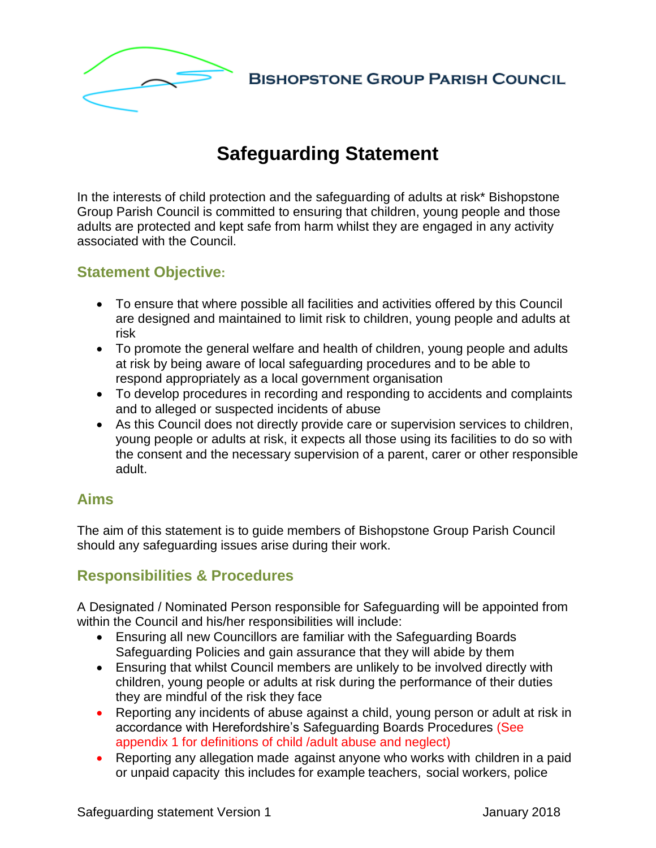

# **Safeguarding Statement**

In the interests of child protection and the safeguarding of adults at risk\* Bishopstone Group Parish Council is committed to ensuring that children, young people and those adults are protected and kept safe from harm whilst they are engaged in any activity associated with the Council.

## **Statement Objective:**

- To ensure that where possible all facilities and activities offered by this Council are designed and maintained to limit risk to children, young people and adults at risk
- To promote the general welfare and health of children, young people and adults at risk by being aware of local safeguarding procedures and to be able to respond appropriately as a local government organisation
- To develop procedures in recording and responding to accidents and complaints and to alleged or suspected incidents of abuse
- As this Council does not directly provide care or supervision services to children, young people or adults at risk, it expects all those using its facilities to do so with the consent and the necessary supervision of a parent, carer or other responsible adult.

### **Aims**

The aim of this statement is to guide members of Bishopstone Group Parish Council should any safeguarding issues arise during their work.

# **Responsibilities & Procedures**

A Designated / Nominated Person responsible for Safeguarding will be appointed from within the Council and his/her responsibilities will include:

- Ensuring all new Councillors are familiar with the Safeguarding Boards Safeguarding Policies and gain assurance that they will abide by them
- Ensuring that whilst Council members are unlikely to be involved directly with children, young people or adults at risk during the performance of their duties they are mindful of the risk they face
- Reporting any incidents of abuse against a child, young person or adult at risk in accordance with Herefordshire's Safeguarding Boards Procedures (See appendix 1 for definitions of child /adult abuse and neglect)
- Reporting any allegation made against anyone who works with children in a paid or unpaid capacity this includes for example teachers, social workers, police